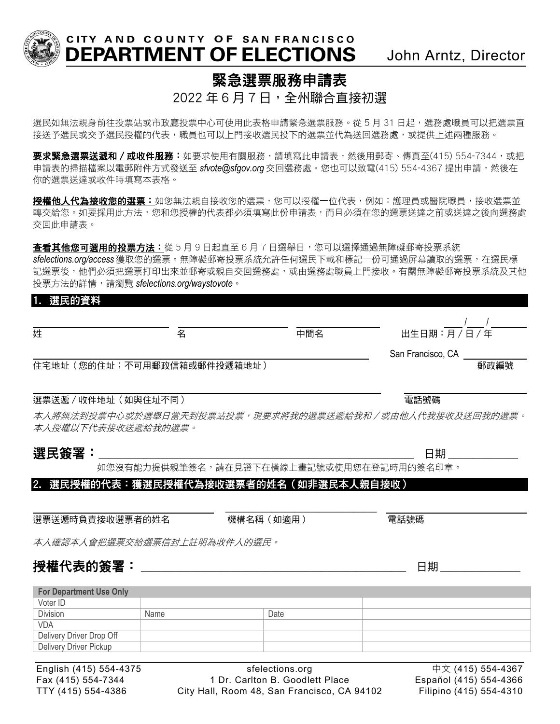

CITY AND COUNTY OF SAN FRANCISCO DEPARTMENT OF ELECTIONS John Arntz, Director

## 緊急選票服務申請表

 $2022 \n 46$  月  $7$  日, 全州 合 直接初選

選民如無法親身前往投票站或市政廳投票中心可使用此表格申請緊急選票服務。從 5 月 31 日起,選務處職員可以把選票直 接送予選民或交予選民授權的代表,職員也可以上門接收選民投下的選票並代為送回選務處,或提供上述兩種服務。

要求緊急選票送遞和/或收件服務:如要求使用有關服務,請填寫此申請表,然後用郵寄、傳真至(415) 554-7344,或把 申請表的掃描檔案以電郵附件方式發送至 *sfvote@sfgov.org* 交回選務處。您也可以致電(415) 554-4367 提出申請,然後在 你的選票送達或收件時填寫本表格。

投權他人代為接收您的選票: 如您無法親自接收您的選票,您可以授權一位代表,例如: 護理員或醫院職員,接收選票並 轉交給您。如要採用此方法,您和您授權的代表都必須填寫此份申請表,而且必須在您的選票送達之前或送達之後向選務處 交回此申請表。

查看其他您可選用的投票方法:從 5 月 9 日起直至 6 月 7 日選舉日,您可以選擇通過無障礙郵寄投票系統 *sfelections.org/access* 獲取您的選票。無障礙郵寄投票系統允許任何選民下載和標記一份可通過屏幕讀取的選票,在選民標 記選票後,他們必須把選票打印出來並郵寄或親自交回選務處,或由選務處職員上門接收。有關無障礙郵寄投票系統及其他 投票方法的詳情,請瀏覽 *sfelections.org/waystovote*。

#### 1. 選民的資料

| 姓                           | 名 | 中間名 | 出生日期:月/日/年        |      |
|-----------------------------|---|-----|-------------------|------|
|                             |   |     | San Francisco, CA |      |
| 住宅地址 (您的住址;不可用郵政信箱或郵件投遞箱地址) |   |     |                   | 郵政編號 |
|                             |   |     |                   |      |
| 選票送遞 / 收件地址 (如與住址不同)        |   |     | 電話號碼              |      |

本人將無法到投票中心或於選舉日當天到投票站投票,現要求將我的選票送遞給我和/或由他人代我接收及送回我的選票。 本人授權以下代表接收送遞給我的選票。

#### 選民簽署:\_\_\_\_\_\_\_\_\_\_\_\_\_\_\_\_\_\_\_\_\_\_\_\_\_\_\_\_\_\_\_\_\_\_\_\_\_\_\_\_\_\_\_\_\_\_\_\_\_\_\_\_\_\_\_\_\_\_\_\_\_\_\_ 日期 \_\_\_\_\_\_\_\_\_\_\_\_\_\_

如您沒有能力提供親筆簽名,請在見證下在橫線上畫記號或使用您在登記時用的簽名印章。

### 2. 選民授權的代表:獲選民授權代為接收選票者的姓名(如非選民本人親自接收)

選票送遞時負責接收選票者的姓名 機構名稱(如適用) 電話號碼

\_\_\_\_\_\_\_\_\_\_\_\_\_\_\_\_\_\_\_\_\_\_\_\_\_\_\_\_\_\_\_\_\_

本人確認本人會把選票交給選票信封上註明為收件人的選民。

## 授權代表的簽署: \_\_\_\_\_\_\_\_\_\_\_\_\_\_\_\_\_\_\_\_\_\_\_\_\_\_\_\_\_\_\_\_\_\_\_\_\_\_\_\_\_\_\_\_\_\_\_\_\_\_\_\_\_ 日期 \_\_\_\_\_\_\_\_\_\_\_\_\_\_\_\_

| <b>For Department Use Only</b> |      |      |  |  |  |  |
|--------------------------------|------|------|--|--|--|--|
| Voter ID                       |      |      |  |  |  |  |
| Division                       | Name | Date |  |  |  |  |
| VDA                            |      |      |  |  |  |  |
| Delivery Driver Drop Off       |      |      |  |  |  |  |
| Delivery Driver Pickup         |      |      |  |  |  |  |